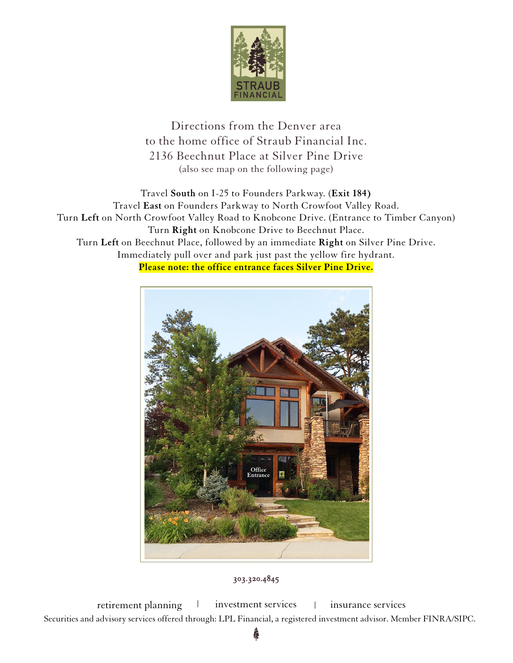

Directions from the Denver area to the home office of Straub Financial Inc. 2136 Beechnut Place at Silver Pine Drive (also see map on the following page)

Travel **South** on I-25 to Founders Parkway. (**Exit 184)** Travel **East** on Founders Parkway to North Crowfoot Valley Road. Turn **Left** on North Crowfoot Valley Road to Knobcone Drive. (Entrance to Timber Canyon) Turn **Right** on Knobcone Drive to Beechnut Place. Turn **Left** on Beechnut Place, followed by an immediate **Right** on Silver Pine Drive. Immediately pull over and park just past the yellow fire hydrant. **Please note: the office entrance faces Silver Pine Drive.**



## 303.320.4845

retirement planning l investment services | insurance services Securities and advisory services offered through: LPL Financial, a registered investment advisor. Member FINRA/SIPC.